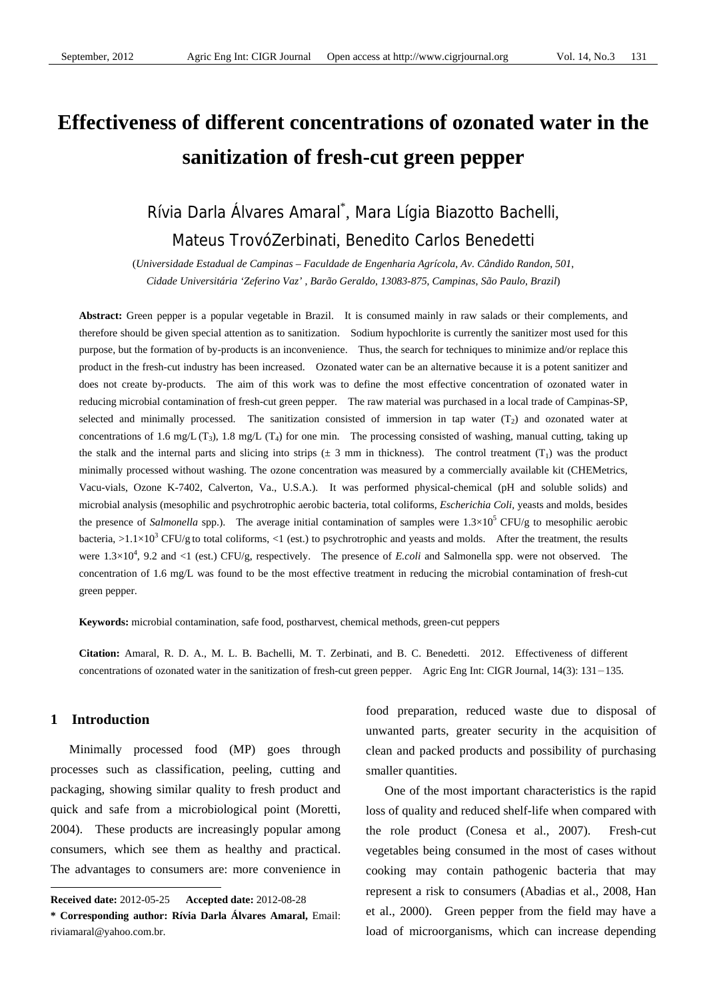# **Effectiveness of different concentrations of ozonated water in the sanitization of fresh-cut green pepper**

# Rívia Darla Álvares Amaral\* , Mara Lígia Biazotto Bachelli, Mateus TrovóZerbinati, Benedito Carlos Benedetti

(*Universidade Estadual de Campinas – Faculdade de Engenharia Agrícola*, *Av. Cândido Randon*, *501*, *Cidade Universitária 'Zeferino Vaz'* , *Barão Geraldo*, *13083-875*, *Campinas*, *São Paulo*, *Brazil*)

**Abstract:** Green pepper is a popular vegetable in Brazil. It is consumed mainly in raw salads or their complements, and therefore should be given special attention as to sanitization. Sodium hypochlorite is currently the sanitizer most used for this purpose, but the formation of by-products is an inconvenience. Thus, the search for techniques to minimize and/or replace this product in the fresh-cut industry has been increased. Ozonated water can be an alternative because it is a potent sanitizer and does not create by-products. The aim of this work was to define the most effective concentration of ozonated water in reducing microbial contamination of fresh-cut green pepper. The raw material was purchased in a local trade of Campinas-SP, selected and minimally processed. The sanitization consisted of immersion in tap water  $(T_2)$  and ozonated water at concentrations of 1.6 mg/L (T<sub>3</sub>), 1.8 mg/L (T<sub>4</sub>) for one min. The processing consisted of washing, manual cutting, taking up the stalk and the internal parts and slicing into strips  $(\pm 3 \text{ mm in thickness})$ . The control treatment  $(T_1)$  was the product minimally processed without washing. The ozone concentration was measured by a commercially available kit (CHEMetrics, Vacu-vials, Ozone K-7402, Calverton, Va., U.S.A.). It was performed physical-chemical (pH and soluble solids) and microbial analysis (mesophilic and psychrotrophic aerobic bacteria, total coliforms, *Escherichia Coli,* yeasts and molds, besides the presence of *Salmonella* spp.). The average initial contamination of samples were  $1.3 \times 10^5$  CFU/g to mesophilic aerobic bacteria, >1.1×10<sup>3</sup> CFU/g to total coliforms, <1 (est.) to psychrotrophic and yeasts and molds. After the treatment, the results were  $1.3 \times 10^4$ , 9.2 and <1 (est.) CFU/g, respectively. The presence of *E.coli* and Salmonella spp. were not observed. The concentration of 1.6 mg/L was found to be the most effective treatment in reducing the microbial contamination of fresh-cut green pepper.

**Keywords:** microbial contamination, safe food, postharvest, chemical methods, green-cut peppers

**Citation:** Amaral, R. D. A., M. L. B. Bachelli, M. T. Zerbinati, and B. C. Benedetti. 2012. Effectiveness of different concentrations of ozonated water in the sanitization of fresh-cut green pepper. Agric Eng Int: CIGR Journal, 14(3): 131-135.

# **1 Introduction**

 $\overline{a}$ 

Minimally processed food (MP) goes through processes such as classification, peeling, cutting and packaging, showing similar quality to fresh product and quick and safe from a microbiological point (Moretti, 2004). These products are increasingly popular among consumers, which see them as healthy and practical. The advantages to consumers are: more convenience in food preparation, reduced waste due to disposal of unwanted parts, greater security in the acquisition of clean and packed products and possibility of purchasing smaller quantities.

One of the most important characteristics is the rapid loss of quality and reduced shelf-life when compared with the role product (Conesa et al., 2007). Fresh-cut vegetables being consumed in the most of cases without cooking may contain pathogenic bacteria that may represent a risk to consumers (Abadias et al., 2008, Han et al., 2000). Green pepper from the field may have a load of microorganisms, which can increase depending

**Received date:** 2012-05-25 **Accepted date:** 2012-08-28

**<sup>\*</sup> Corresponding author: Rívia Darla Álvares Amaral,** Email: riviamaral@yahoo.com.br.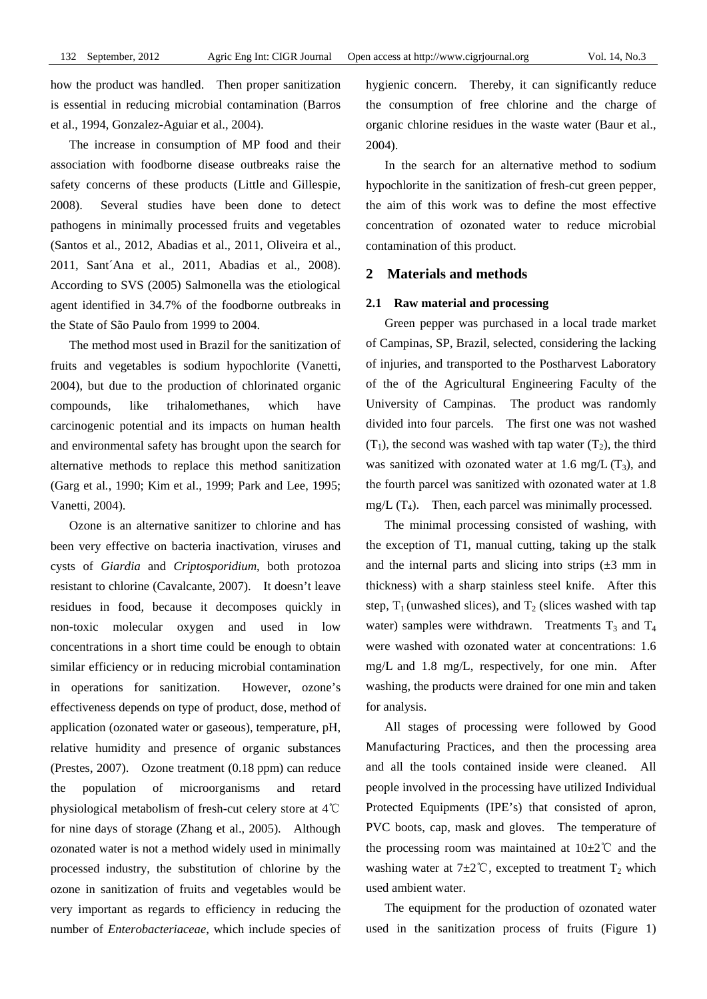how the product was handled. Then proper sanitization is essential in reducing microbial contamination (Barros et al., 1994, Gonzalez-Aguiar et al., 2004).

The increase in consumption of MP food and their association with foodborne disease outbreaks raise the safety concerns of these products (Little and Gillespie, 2008). Several studies have been done to detect pathogens in minimally processed fruits and vegetables (Santos et al., 2012, Abadias et al., 2011, Oliveira et al., 2011, Sant´Ana et al., 2011, Abadias et al., 2008). According to SVS (2005) Salmonella was the etiological agent identified in 34.7% of the foodborne outbreaks in the State of São Paulo from 1999 to 2004.

The method most used in Brazil for the sanitization of fruits and vegetables is sodium hypochlorite (Vanetti, 2004), but due to the production of chlorinated organic compounds, like trihalomethanes, which have carcinogenic potential and its impacts on human health and environmental safety has brought upon the search for alternative methods to replace this method sanitization (Garg et al*.*, 1990; Kim et al., 1999; Park and Lee, 1995; Vanetti, 2004).

Ozone is an alternative sanitizer to chlorine and has been very effective on bacteria inactivation, viruses and cysts of *Giardia* and *Criptosporidium*, both protozoa resistant to chlorine (Cavalcante, 2007). It doesn't leave residues in food, because it decomposes quickly in non-toxic molecular oxygen and used in low concentrations in a short time could be enough to obtain similar efficiency or in reducing microbial contamination in operations for sanitization. However, ozone's effectiveness depends on type of product, dose, method of application (ozonated water or gaseous), temperature, pH, relative humidity and presence of organic substances (Prestes, 2007). Ozone treatment (0.18 ppm) can reduce the population of microorganisms and retard physiological metabolism of fresh-cut celery store at 4℃ for nine days of storage (Zhang et al., 2005). Although ozonated water is not a method widely used in minimally processed industry, the substitution of chlorine by the ozone in sanitization of fruits and vegetables would be very important as regards to efficiency in reducing the number of *Enterobacteriaceae*, which include species of hygienic concern. Thereby, it can significantly reduce the consumption of free chlorine and the charge of organic chlorine residues in the waste water (Baur et al., 2004).

In the search for an alternative method to sodium hypochlorite in the sanitization of fresh-cut green pepper, the aim of this work was to define the most effective concentration of ozonated water to reduce microbial contamination of this product.

# **2 Materials and methods**

#### **2.1 Raw material and processing**

Green pepper was purchased in a local trade market of Campinas, SP, Brazil, selected, considering the lacking of injuries, and transported to the Postharvest Laboratory of the of the Agricultural Engineering Faculty of the University of Campinas. The product was randomly divided into four parcels. The first one was not washed  $(T_1)$ , the second was washed with tap water  $(T_2)$ , the third was sanitized with ozonated water at 1.6 mg/L  $(T_3)$ , and the fourth parcel was sanitized with ozonated water at 1.8 mg/L  $(T_4)$ . Then, each parcel was minimally processed.

The minimal processing consisted of washing, with the exception of T1, manual cutting, taking up the stalk and the internal parts and slicing into strips  $(\pm 3 \text{ mm in})$ thickness) with a sharp stainless steel knife. After this step,  $T_1$  (unwashed slices), and  $T_2$  (slices washed with tap water) samples were withdrawn. Treatments  $T_3$  and  $T_4$ were washed with ozonated water at concentrations: 1.6 mg/L and 1.8 mg/L, respectively, for one min. After washing, the products were drained for one min and taken for analysis.

All stages of processing were followed by Good Manufacturing Practices, and then the processing area and all the tools contained inside were cleaned. All people involved in the processing have utilized Individual Protected Equipments (IPE's) that consisted of apron, PVC boots, cap, mask and gloves. The temperature of the processing room was maintained at  $10\pm2\degree$  and the washing water at  $7\pm2^{\circ}$ C, excepted to treatment T<sub>2</sub> which used ambient water.

The equipment for the production of ozonated water used in the sanitization process of fruits (Figure 1)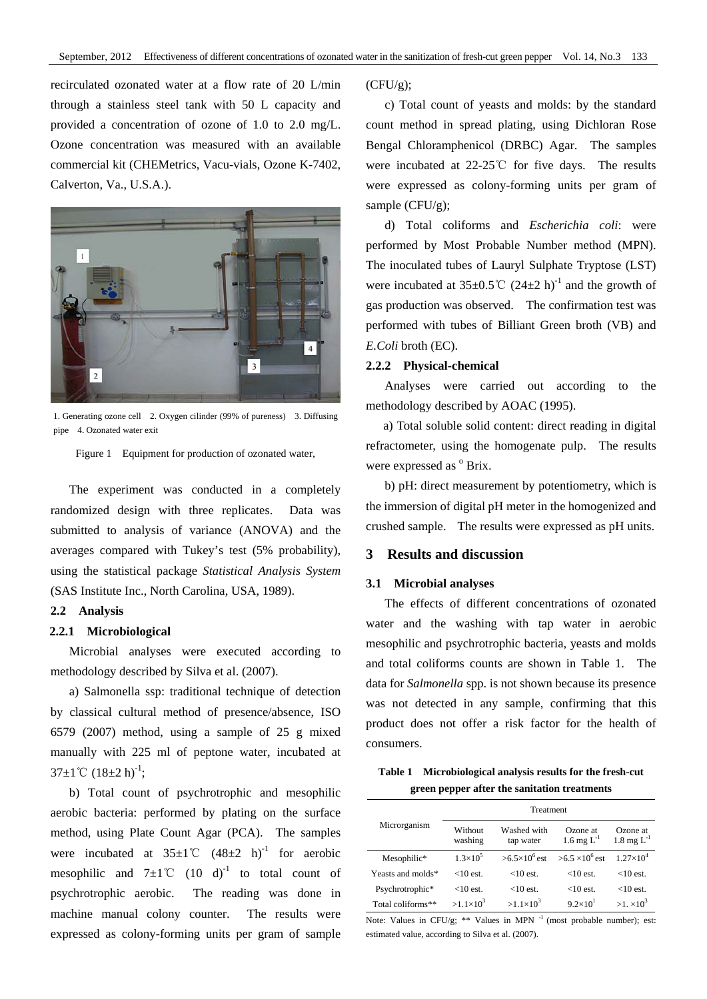recirculated ozonated water at a flow rate of 20 L/min through a stainless steel tank with 50 L capacity and provided a concentration of ozone of 1.0 to 2.0 mg/L. Ozone concentration was measured with an available commercial kit (CHEMetrics, Vacu-vials, Ozone K-7402, Calverton, Va., U.S.A.).



1. Generating ozone cell 2. Oxygen cilinder (99% of pureness) 3. Diffusing pipe 4. Ozonated water exit

Figure 1 Equipment for production of ozonated water,

The experiment was conducted in a completely randomized design with three replicates. Data was submitted to analysis of variance (ANOVA) and the averages compared with Tukey's test (5% probability), using the statistical package *Statistical Analysis System* (SAS Institute Inc., North Carolina, USA, 1989).

#### **2.2 Analysis**

#### **2.2.1 Microbiological**

Microbial analyses were executed according to methodology described by Silva et al. (2007).

a) Salmonella ssp: traditional technique of detection by classical cultural method of presence/absence, ISO 6579 (2007) method, using a sample of 25 g mixed manually with 225 ml of peptone water, incubated at  $37\pm1$ °C  $(18\pm2 h)^{-1}$ ;

b) Total count of psychrotrophic and mesophilic aerobic bacteria: performed by plating on the surface method, using Plate Count Agar (PCA). The samples were incubated at  $35\pm1^{\circ}$  (48 $\pm2$  h)<sup>-1</sup> for aerobic mesophilic and  $7\pm1^{\circ}$  (10 d)<sup>-1</sup> to total count of psychrotrophic aerobic. The reading was done in machine manual colony counter. The results were expressed as colony-forming units per gram of sample  $(CFU/g);$ 

c) Total count of yeasts and molds: by the standard count method in spread plating, using Dichloran Rose Bengal Chloramphenicol (DRBC) Agar. The samples were incubated at 22-25℃ for five days. The results were expressed as colony-forming units per gram of sample (CFU/g);

d) Total coliforms and *Escherichia coli*: were performed by Most Probable Number method (MPN). The inoculated tubes of Lauryl Sulphate Tryptose (LST) were incubated at  $35\pm0.5^{\circ}$  (24 $\pm$ 2 h)<sup>-1</sup> and the growth of gas production was observed. The confirmation test was performed with tubes of Billiant Green broth (VB) and *E.Coli* broth (EC).

#### **2.2.2 Physical-chemical**

Analyses were carried out according to the methodology described by AOAC (1995).

 a) Total soluble solid content: direct reading in digital refractometer, using the homogenate pulp. The results were expressed as  $^{\circ}$  Brix.

b) pH: direct measurement by potentiometry, which is the immersion of digital pH meter in the homogenized and crushed sample. The results were expressed as pH units.

## **3 Results and discussion**

#### **3.1 Microbial analyses**

The effects of different concentrations of ozonated water and the washing with tap water in aerobic mesophilic and psychrotrophic bacteria, yeasts and molds and total coliforms counts are shown in Table 1. The data for *Salmonella* spp. is not shown because its presence was not detected in any sample, confirming that this product does not offer a risk factor for the health of consumers.

**Table 1 Microbiological analysis results for the fresh-cut green pepper after the sanitation treatments** 

| Microrganism      | Treatment          |                          |                             |                                      |  |
|-------------------|--------------------|--------------------------|-----------------------------|--------------------------------------|--|
|                   | Without<br>washing | Washed with<br>tap water | Ozone at<br>1.6 mg $L^{-1}$ | Ozone at<br>$1.8 \text{ mg } L^{-1}$ |  |
| Mesophilic*       | $1.3\times10^{5}$  | $>6.5\times10^{6}$ est   | $>6.5 \times 10^{6}$ est    | $1.27\times10^{4}$                   |  |
| Yeasts and molds* | $<$ 10 est.        | $<$ 10 est               | $<$ 10 est                  | $<$ 10 est.                          |  |
| Psychrotrophic*   | $<$ 10 est.        | $<$ 10 est.              | $<$ 10 est                  | $<$ 10 est.                          |  |
| Total coliforms** | $>1.1\times10^{3}$ | $>1.1\times10^{3}$       | $9.2 \times 10^{1}$         | $>1. \times 10^3$                    |  |

Note: Values in CFU/g; \*\* Values in MPN <sup>-1</sup> (most probable number); est: estimated value, according to Silva et al. (2007).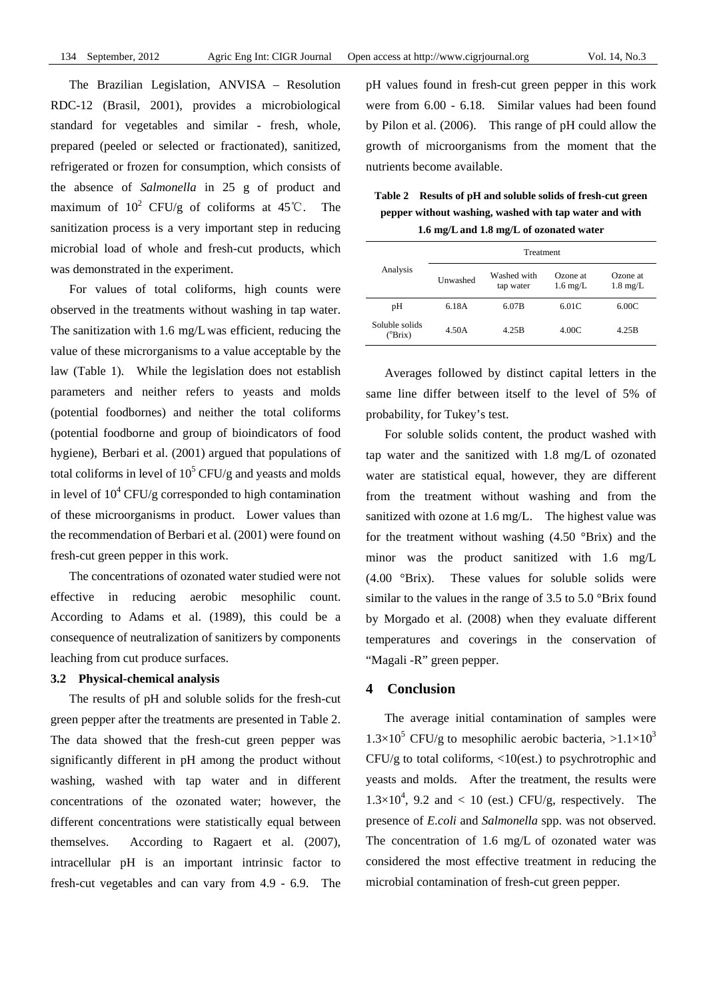The Brazilian Legislation, ANVISA – Resolution RDC-12 (Brasil, 2001), provides a microbiological standard for vegetables and similar - fresh, whole, prepared (peeled or selected or fractionated), sanitized, refrigerated or frozen for consumption, which consists of the absence of *Salmonella* in 25 g of product and maximum of  $10^2$  CFU/g of coliforms at 45°C. The sanitization process is a very important step in reducing microbial load of whole and fresh-cut products, which was demonstrated in the experiment.

For values of total coliforms, high counts were observed in the treatments without washing in tap water. The sanitization with 1.6 mg/L was efficient, reducing the value of these microrganisms to a value acceptable by the law (Table 1). While the legislation does not establish parameters and neither refers to yeasts and molds (potential foodbornes) and neither the total coliforms (potential foodborne and group of bioindicators of food hygiene), Berbari et al. (2001) argued that populations of total coliforms in level of  $10^5$  CFU/g and yeasts and molds in level of  $10^4$  CFU/g corresponded to high contamination of these microorganisms in product. Lower values than the recommendation of Berbari et al. (2001) were found on fresh-cut green pepper in this work.

The concentrations of ozonated water studied were not effective in reducing aerobic mesophilic count. According to Adams et al. (1989), this could be a consequence of neutralization of sanitizers by components leaching from cut produce surfaces.

#### **3.2 Physical-chemical analysis**

The results of pH and soluble solids for the fresh-cut green pepper after the treatments are presented in Table 2. The data showed that the fresh-cut green pepper was significantly different in pH among the product without washing, washed with tap water and in different concentrations of the ozonated water; however, the different concentrations were statistically equal between themselves. According to Ragaert et al. (2007), intracellular pH is an important intrinsic factor to fresh-cut vegetables and can vary from 4.9 - 6.9. The pH values found in fresh-cut green pepper in this work were from 6.00 - 6.18. Similar values had been found by Pilon et al. (2006). This range of pH could allow the growth of microorganisms from the moment that the nutrients become available.

**Table 2 Results of pH and soluble solids of fresh-cut green pepper without washing, washed with tap water and with 1.6 mg/Land 1.8 mg/L of ozonated water** 

| Analysis                           | Treatment |                          |                                |                                |  |
|------------------------------------|-----------|--------------------------|--------------------------------|--------------------------------|--|
|                                    | Unwashed  | Washed with<br>tap water | Ozone at<br>$1.6 \text{ mg/L}$ | Ozone at<br>$1.8 \text{ mg/L}$ |  |
| pН                                 | 6.18A     | 6.07B                    | 6.01C                          | 6.00C                          |  |
| Soluble solids<br>$(^{\circ}Brix)$ | 4.50A     | 4.25B                    | 4.00C                          | 4.25B                          |  |

Averages followed by distinct capital letters in the same line differ between itself to the level of 5% of probability, for Tukey's test.

For soluble solids content, the product washed with tap water and the sanitized with 1.8 mg/L of ozonated water are statistical equal, however, they are different from the treatment without washing and from the sanitized with ozone at 1.6 mg/L. The highest value was for the treatment without washing  $(4.50 \text{ °Brix})$  and the minor was the product sanitized with 1.6 mg/L (4.00 °Brix). These values for soluble solids were similar to the values in the range of 3.5 to 5.0 °Brix found by Morgado et al. (2008) when they evaluate different temperatures and coverings in the conservation of "Magali -R" green pepper.

# **4 Conclusion**

The average initial contamination of samples were  $1.3 \times 10^5$  CFU/g to mesophilic aerobic bacteria,  $>1.1 \times 10^3$ CFU/g to total coliforms, <10(est.) to psychrotrophic and yeasts and molds. After the treatment, the results were  $1.3 \times 10^4$ , 9.2 and < 10 (est.) CFU/g, respectively. The presence of *E.coli* and *Salmonella* spp. was not observed. The concentration of 1.6 mg/L of ozonated water was considered the most effective treatment in reducing the microbial contamination of fresh-cut green pepper.